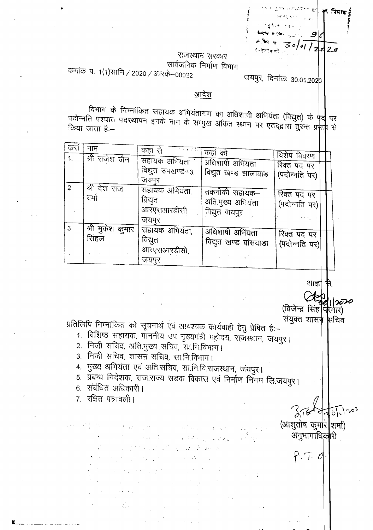## राजस्थान सरकार सार्वजनिक निर्माण विभाग

/ 기  $2\sigma$ 

कमांक प. 1(1)सानि / 2020 / आरके–00022

## जयपुर, दिनांक: 30.01.202p

## आदेश

विभाग के निम्नांकित सहायक अभियंतागण का अधिशापी अभियंता (विद्युत) के **पद्वे** पर पदोन्नति पश्चात पदरथापन इनके नाम के सम्मुख अंकित स्थान पर एतद्द्वारा तुरन्त प्र<mark>मा</mark>म से

| कसं            | नाम                       | कहां से<br>र के बाद                               | कहां कों                                            |                              |  |
|----------------|---------------------------|---------------------------------------------------|-----------------------------------------------------|------------------------------|--|
| 1 <sub>1</sub> | श्री राजेश जैन            | सहायक अभियता                                      |                                                     | विशेष विवरण                  |  |
|                |                           | विद्युत उपखण्ड–3,                                 | अधिशापी अभियता<br>विद्युत खण्ड झालावाड              | रिक्त पद पर                  |  |
| $\overline{c}$ |                           | जयपुर                                             |                                                     | (पदोन्नति पर)                |  |
|                | श्री देश राज<br>वर्मा     | सहायक अभियंता,<br>विद्युत<br>आरएसआरडीसी<br>जयपूर  | तकनीकी सहायक–<br>अति.मुख्य अभियंता<br>विद्युत जयपुर | रिक्त पद पर<br>(पदोन्नति पर) |  |
| $\mathbf{3}$   | श्री मुकेश कुमार<br>सिंहल | सहायक अभियंता,<br>विद्युत<br>आरएसआरडीसी,<br>जयपुर | अधिशाषी अभियता<br>विद्युत खण्ड बांसवाडा             | रिक्त पद पर<br>(पदोन्नति पर) |  |

आज्ञा

 $270100$ 

(ब्रिजेन्द्र सिंह फियार) संयुक्त शासन सचिव

(आशुतोष कुमार शमा)

अनुभागाधिकारी

 $P.T.d.$ 

प्रतिलिपि निम्नांकित को सूचनार्थ एवं आवश्यक कार्यवाही हेतु प्रेषित है:-

- 1. विशिष्ठ सहायक, माननीय उप मुख्यमंत्री गहोदय, राजस्थान, जयपुर।
- 2. निजी सचिव, अति मुख्य सचिव, सानि विभाग।
- 3. निजी सचिव, शासन सचिव, सा.नि.विभाग।

 $\sim 2000$  and  $\sim 100$ 

 $\label{eq:2.1} \frac{1}{2}\int_{\mathbb{R}^3}\frac{1}{\sqrt{2}}\left(\frac{1}{\sqrt{2}}\right)^2\frac{1}{\sqrt{2}}\left(\frac{1}{\sqrt{2}}\right)^2\frac{1}{\sqrt{2}}\left(\frac{1}{\sqrt{2}}\right)^2\frac{1}{\sqrt{2}}\left(\frac{1}{\sqrt{2}}\right)^2\frac{1}{\sqrt{2}}\left(\frac{1}{\sqrt{2}}\right)^2\frac{1}{\sqrt{2}}\left(\frac{1}{\sqrt{2}}\right)^2\frac{1}{\sqrt{2}}\left(\frac{1}{\sqrt{2}}\right)^2\frac{1}{\sqrt{2}}\left$ 

4. मुख्य अभियंता एवं अति.सचिव, सा.नि.वि.राजस्थान, जयपुर।

and the same of the second states والمساهر سياسي والكرامية والمتحدث

5. प्रवन्ध निदेशक, राज.राज्य सडक विकास एवं निर्माण निगम लि.जयपुर।

 $\label{eq:1} \mathcal{L}(\mathcal{L}^{\text{max}}_{\text{max}}(\mathbf{X}_{\text{max}}^{\text{max}})) = \mathcal{L}(\mathcal{L}^{\text{max}}_{\text{max}})$ 

- 6. संबंधित अधिकारी |
- 7. रक्षित पत्रावली।